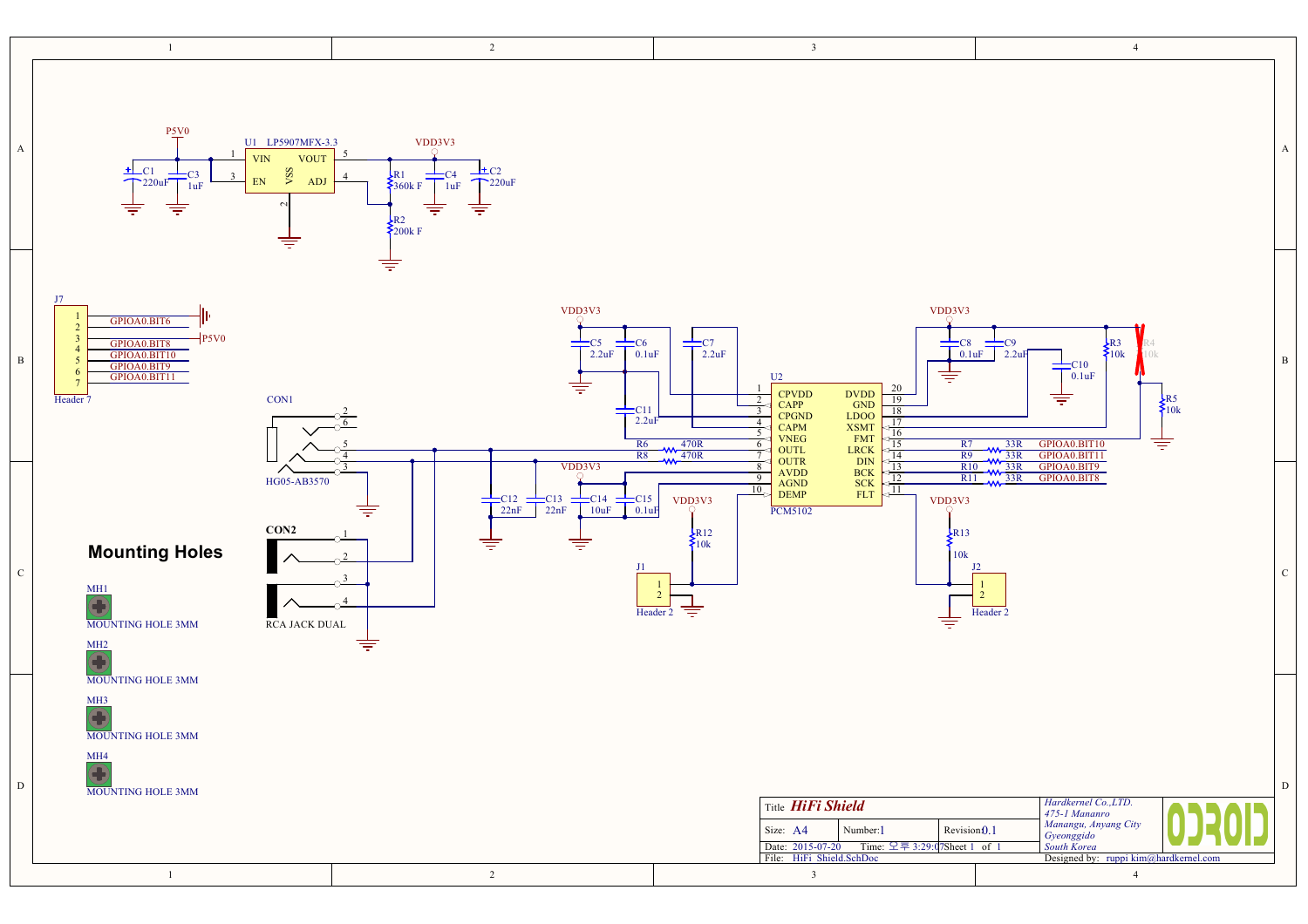|              | $\mathbf{1}$                                                                                                                                | $\overline{2}$                                                                                                                                                                                | $\overline{\mathbf{3}}$                                                                                                                                                                                                                                                                                                                      | $\overline{4}$                                                                                                                                                                                                                                      |
|--------------|---------------------------------------------------------------------------------------------------------------------------------------------|-----------------------------------------------------------------------------------------------------------------------------------------------------------------------------------------------|----------------------------------------------------------------------------------------------------------------------------------------------------------------------------------------------------------------------------------------------------------------------------------------------------------------------------------------------|-----------------------------------------------------------------------------------------------------------------------------------------------------------------------------------------------------------------------------------------------------|
| A            | $P_2V_0$<br>U1 LP5907MFX-3.3<br><b>VIN</b><br><b>VOUT</b><br>vss<br>$-C1$<br>:C3<br>${\rm EN}$<br><b>ADJ</b><br>220uF<br>1uF<br>╤<br>╤<br>₹ | $\underset{\bigcirc}{\text{VDD3V3}}$<br>$\pm$ C <sub>2</sub><br>$\begin{array}{ccc} R1 & -C4 \\ 360k & F & 1uF \end{array}$<br>T220uF<br>╤<br>╤<br>$\begin{matrix} R2 \\ 200k \end{matrix}$ F |                                                                                                                                                                                                                                                                                                                                              | A                                                                                                                                                                                                                                                   |
| $\, {\bf B}$ | J7<br>GPIOA0.BIT6<br>P5V0<br>GPIOA0.BIT8<br>GPIOA0.BIT10<br>GPIOA0.BIT9<br>GPIOA0.BIT11<br>CON1<br>Header 7                                 | ₹<br>VDD <sub>3</sub> V <sub>3</sub><br>$\equiv$ C5<br>$\equiv$ C6<br>2.2uF<br>0.1uF<br>亏<br>$\pm c_{11}$<br>2.2uF<br><b>R6</b><br>R8                                                         | VDD3V3<br>$\frac{1}{2.2\text{uF}}$<br>U2<br>₹<br>20<br>CPVDD<br>CAPP<br>CPGND<br>CAPM<br>DVDD<br>GND<br>LDOO<br>XSMT<br>FMT<br>FMT<br>LRCK<br>DIN<br>BCK<br>SCK<br>FLT<br>19<br>$\overline{2}$<br>18<br>$\overline{\mathbf{3}}$<br>17<br>$\overline{4}$<br>$\frac{16}{15}$<br>5<br><b>VNEG</b><br>470R<br>6<br>R7<br>OUTL<br>470R<br>R9<br>7 | $\frac{1}{\sqrt{0.1uF}}$ $\frac{1}{\sqrt{2.2uF}}$<br>$\begin{cases} R3 \\ 10k \end{cases}$<br>$\mathbf B$<br>$\bigoplus_{0.1\text{uF}}^{C10}$<br>$\sum_{10k}$<br>₹<br>孛<br>GPIOA0.BIT10<br>33R<br>$\frac{33R}{W}$ $\frac{33R}{33R}$<br>GPIOA0.BIT11 |
| $\mathbf C$  | HG05-AB3570<br>CON2<br><b>Mounting Holes</b><br>MH1<br>MOUNTING HOLE 3MM<br>RCA JACK DUAL<br>$\overline{\bigoplus}$                         | VDD3V3<br>$\frac{\text{C12}}{\text{22nF}}$ $\frac{\text{C13}}{\text{22nF}}$<br>$\pm$ C <sub>14</sub><br>$\frac{C15}{0.1}$<br>$10uF$<br>═<br>₹                                                 | $\frac{4}{\sqrt{13}}$<br>OUTR<br>AVDD<br>AGND<br>DEMP<br>R10<br>8 <sup>°</sup><br>9<br>R11<br>10 <sub>5</sub><br>VDD3V3<br>VDD3V3<br><b>PCM5102</b><br>$\begin{cases} R12 \\ 10k \end{cases}$<br>$k^{R13}$<br>10k<br>专<br>Header 2<br>╤                                                                                                      | GPIOA0.BIT9<br>$\frac{1}{4}$ 33R<br>GPIOA0.BIT8<br>$\mathbf C$<br>$\mathcal{D}$<br>Header <sub>2</sub>                                                                                                                                              |
| $\mathbf D$  | MOUNTING HOLE 3MM<br>$\frac{\text{MH3}}{\text{}}$<br>MOUNTING HOLE 3MM<br>MH4<br>Ŧ<br>MOUNTING HOLE 3MM<br>$\mathbf{1}$                     | $\overline{2}$                                                                                                                                                                                | Title HiFi Shield<br>Revision <sub>0.1</sub><br>Number:1<br>Size: A4<br>Date: 2015-07-20 Time: 오후 3:29:07Sheet 1 of 1<br>File: HiFi Shield.SchDoc<br>$\overline{3}$                                                                                                                                                                          | D<br>Hardkernel Co., LTD.<br>475-1 Mananro<br>Manangu, Anyang City<br>Gyeonggido<br>South Korea<br>Designed by: ruppi kim@hardkernel.com<br>$\overline{4}$                                                                                          |